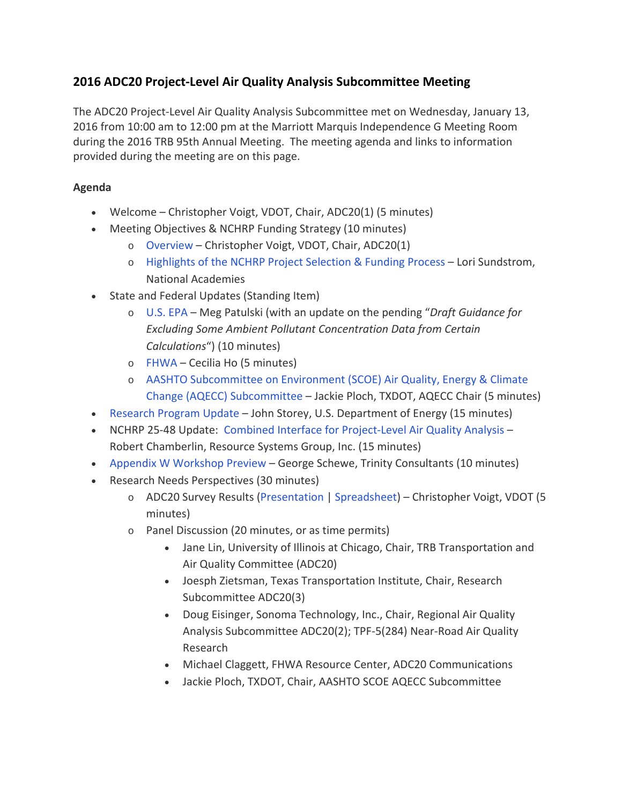## **2016 ADC20 Project-Level Air Quality Analysis Subcommittee Meeting**

The ADC20 Project-Level Air Quality Analysis Subcommittee met on Wednesday, January 13, 2016 from 10:00 am to 12:00 pm at the Marriott Marquis Independence G Meeting Room during the 2016 TRB 95th Annual Meeting. The meeting agenda and links to information provided during the meeting are on this page.

## **Agenda**

- Welcome Christopher Voigt, VDOT, Chair, ADC20(1) (5 minutes)
- Meeting Objectives & NCHRP Funding Strategy (10 minutes)
	- o [Overview](http://trbairquality.wpengine.com/wp-content/uploads/2016/02/2a-Christopher-VOIGT-Objectives-Process-1.pdf) Christopher Voigt, VDOT, Chair, ADC20(1)
	- o [Highlights of the NCHRP Project Selection & Funding Process](http://trbairquality.wpengine.com/wp-content/uploads/2016/02/2b-Lori-SUNDSTROM-TRB-NCHRP-Project-Selection-Overview.pdf) Lori Sundstrom, National Academies
- State and Federal Updates (Standing Item)
	- o [U.S. EPA](http://trbairquality.wpengine.com/wp-content/uploads/2016/02/3a-Meg-PATULSKI-EPA-Project-Level-Analysis-Update-January-2016.pdf) Meg Patulski (with an update on the pending "*Draft Guidance for Excluding Some Ambient Pollutant Concentration Data from Certain Calculations*") (10 minutes)
	- o [FHWA](http://trbairquality.wpengine.com/wp-content/uploads/2016/02/3b-Cecilia-HO-FHWA-update-Jan-2016.pdf) Cecilia Ho (5 minutes)
	- o [AASHTO Subcommittee on Environment \(SCOE\) Air Quality, Energy & Climate](http://trbairquality.wpengine.com/wp-content/uploads/2016/02/3c-Jackie-PLOCH-AASHTO-Project-Level-Subcomm-TRB-2016.pdf)  [Change \(AQECC\) Subcommittee](http://trbairquality.wpengine.com/wp-content/uploads/2016/02/3c-Jackie-PLOCH-AASHTO-Project-Level-Subcomm-TRB-2016.pdf) – Jackie Ploch, TXDOT, AQECC Chair (5 minutes)
- [Research Program Update](http://trbairquality.wpengine.com/wp-content/uploads/2016/02/4-John-STOREY-ORNL-2016-Project-Analysis-Subcommittee-2.pdf) John Storey, U.S. Department of Energy (15 minutes)
- NCHRP 25-48 Update: [Combined Interface for Project-Level Air Quality Analysis](http://trbairquality.wpengine.com/wp-content/uploads/2016/02/5-Bob-CHAMBERLIN-RSG-NCHRP-25-48-Summary-Presentation-1-13-16-2.pdf) Robert Chamberlin, Resource Systems Group, Inc. (15 minutes)
- [Appendix W Workshop Preview](http://trbairquality.wpengine.com/wp-content/uploads/2016/02/6-George-SCHEWE-Trinity-2016-TRB-Project-Level-Committee-Wed-2016-0113-2.pdf) George Schewe, Trinity Consultants (10 minutes)
- Research Needs Perspectives (30 minutes)
	- o ADC20 Survey Results [\(Presentation](http://trbairquality.wpengine.com/wp-content/uploads/2016/02/7a-Christopher-VOIGT-ADC20-Survey-Results-Presentation-v3-2x313-2.pdf) | [Spreadsheet\)](http://trbairquality.wpengine.com/wp-content/uploads/2016/02/ADC201-Project-Level-Air-Q-Research-Ideas-2016-Update.pdf) Christopher Voigt, VDOT (5 minutes)
	- o Panel Discussion (20 minutes, or as time permits)
		- Jane Lin, University of Illinois at Chicago, Chair, TRB Transportation and Air Quality Committee (ADC20)
		- Joesph Zietsman, Texas Transportation Institute, Chair, Research Subcommittee ADC20(3)
		- Doug Eisinger, Sonoma Technology, Inc., Chair, Regional Air Quality Analysis Subcommittee ADC20(2); TPF-5(284) Near-Road Air Quality Research
		- Michael Claggett, FHWA Resource Center, ADC20 Communications
		- Jackie Ploch, TXDOT, Chair, AASHTO SCOE AQECC Subcommittee